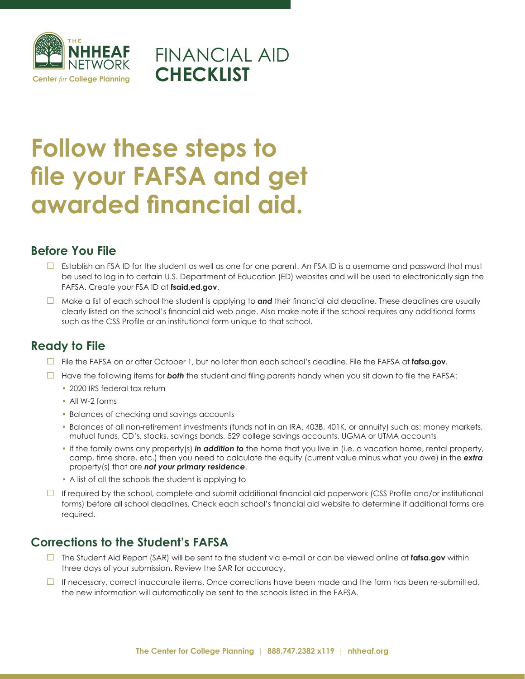

## FINANCIAL AID **CHECKLIST**

# **Follow these steps to file your FAFSA and get awarded financial aid.**

#### **Before You File**

- $\square$  Establish an FSA ID for the student as well as one for one parent. An FSA ID is a username and password that must be used to log in to certain U.S. Department of Education (ED) websites and will be used to electronically sign the FAFSA. Create your FSA ID at **fsaid.ed.gov**.
- □ Make a list of each school the student is applying to **and** their financial aid deadline. These deadlines are usually clearly listed on the school's financial aid web page. Also make note if the school requires any additional forms such as the CSS Profile or an institutional form unique to that school.

#### **Ready to File**

- □ File the FAFSA on or after October 1, but no later than each school's deadline. File the FAFSA at **fafsa.gov**.
- □ Have the following items for *both* the student and filing parents handy when you sit down to file the FAFSA:
	- 2020 IRS federal tax return
	- All W-2 forms
	- Balances of checking and savings accounts
	- Balances of all non-retirement investments (funds not in an IRA, 403B, 401K, or annuity) such as: money markets, mutual funds, CD's, stocks, savings bonds, 529 college savings accounts, UGMA or UTMA accounts
	- If the family owns any property(s) *in addition to* the home that you live in (i.e. a vacation home, rental property, camp, time share, etc.) then you need to calculate the equity (current value minus what you owe) in the *extra* property(s) that are *not your primary residence*.
	- A list of all the schools the student is applying to
- $\Box$  If required by the school, complete and submit additional financial aid paperwork (CSS Profile and/or institutional forms) before all school deadlines. Check each school's financial aid website to determine if additional forms are required.

#### **Corrections to the Student's FAFSA**

- □ The Student Aid Report (SAR) will be sent to the student via e-mail or can be viewed online at **fafsa.gov** within three days of your submission. Review the SAR for accuracy.
- $\Box$  If necessary, correct inaccurate items. Once corrections have been made and the form has been re-submitted, the new information will automatically be sent to the schools listed in the FAFSA.